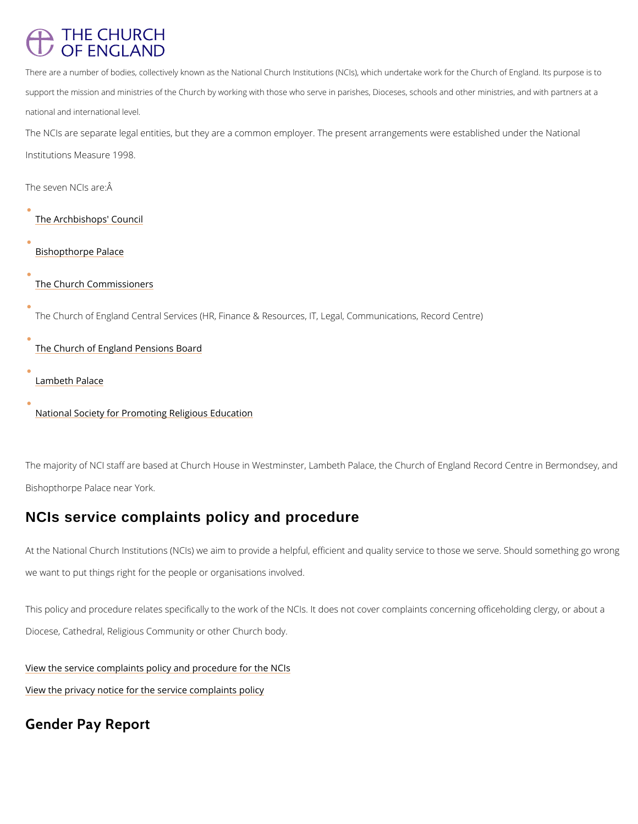## **THE CHURCH** OF ENGLAND

There are a number of bodies, collectively known as the National Church Institutions (NCIs), which unde support the mission and ministries of the Church by working with those who serve in parishes, Dioceses, national and international level.

The NCIs are separate legal entities, but they are a common employer. The present arrangem Institutions Measure 1998.

The majority of NCI staff are based at Church House in Westminster, Lambeth Palace, the Ch Bishopthorpe Palace near York.

The seven NCIs are:Â

[The Archbishops](https://www.churchofengland.org/about/leadership-and-governance/archbishops-council)' Council

[Bishopthorpe](http://www.archbishopofyork.org/) Palace

[The Church Comm](/about/leadership-and-governance/church-commissioners)issioners

The Church of England Central Services (HR, Finance & Resources, IT, Legal, Communicati

At the National Church Institutions (NCIs) we aim to provide a helpful, efficient and quality s we want to put things right for the people or organisations involved.

This policy and procedure relates specifically to the work of the NCIs. It does not cover com

[The Church of England Pe](/about/leadership-and-governance/church-england-pensions-board)nsions Board

[Lambeth P](http://www.archbishopofcanterbury.org/)alace

[National Society for Promoting R](/about/education-and-schools)eligious Education

## NCIs service complaints policy and procedure

Diocese, Cathedral, Religious Community or other Church body.

[View the service complaints policy and p](/media/21187)rocedure for the NCIs

[View the privacy notice for the servi](/media/21188)ce complaints policy

## Gender Pay Report